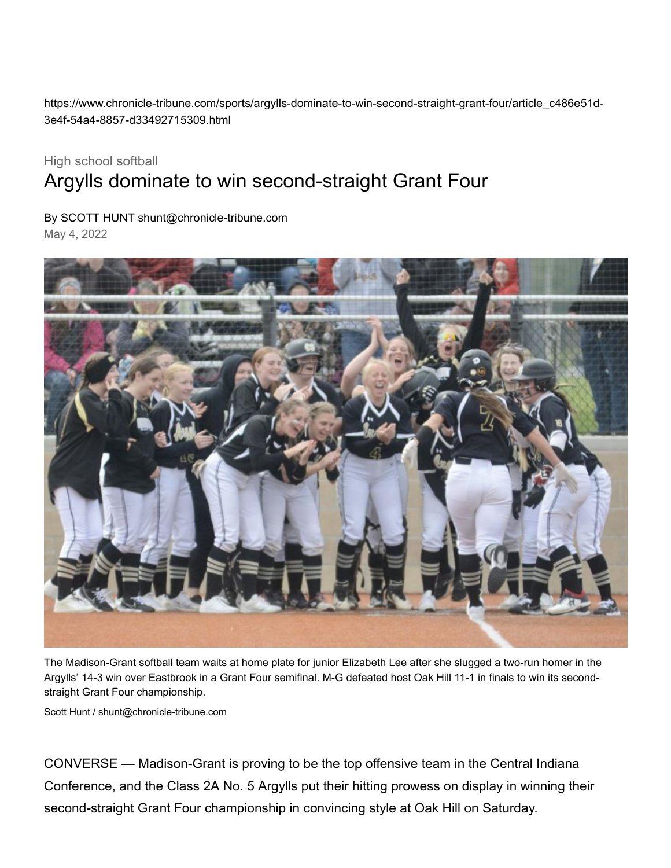https://www.chronicle-tribune.com/sports/argylls-dominate-to-win-second-straight-grant-four/article\_c486e51d-3e4f-54a4-8857-d33492715309.html

## High school softball Argylls dominate to win second-straight Grant Four

By SCOTT HUNT [shunt@chronicle-tribune.com](https://www.chronicle-tribune.com/users/profile/Scott%20Hunt)

May 4, 2022



The Madison-Grant softball team waits at home plate for junior Elizabeth Lee after she slugged a two-run homer in the Argylls' 14-3 win over Eastbrook in a Grant Four semifinal. M-G defeated host Oak Hill 11-1 in finals to win its secondstraight Grant Four championship.

[Scott Hunt / shunt@chronicle-tribune.com](https://www.chronicle-tribune.com/users/profile/Scott%20Hunt)

CONVERSE — Madison-Grant is proving to be the top offensive team in the Central Indiana Conference, and the Class 2A No. 5 Argylls put their hitting prowess on display in winning their second-straight Grant Four championship in convincing style at Oak Hill on Saturday.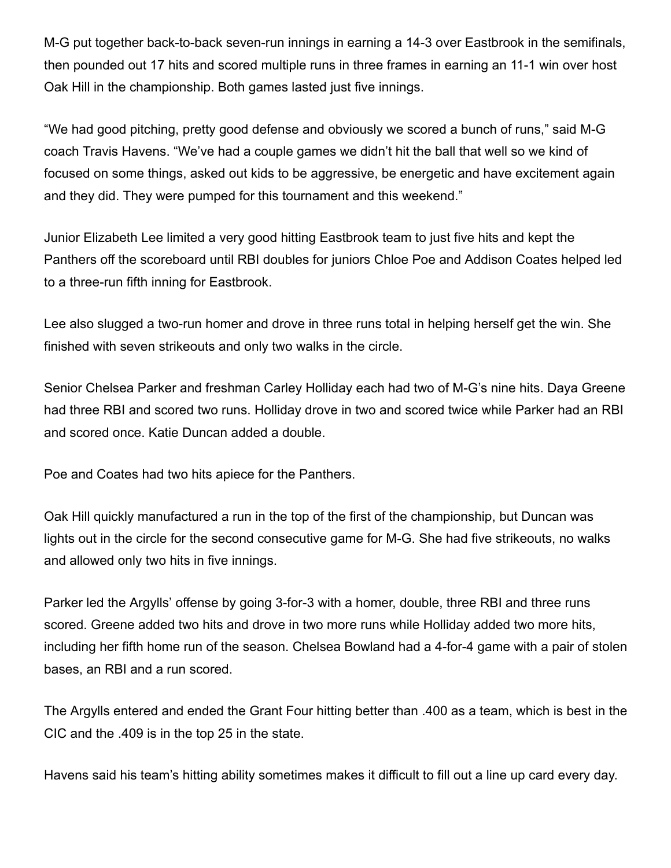M-G put together back-to-back seven-run innings in earning a 14-3 over Eastbrook in the semifinals, then pounded out 17 hits and scored multiple runs in three frames in earning an 11-1 win over host Oak Hill in the championship. Both games lasted just five innings.

"We had good pitching, pretty good defense and obviously we scored a bunch of runs," said M-G coach Travis Havens. "We've had a couple games we didn't hit the ball that well so we kind of focused on some things, asked out kids to be aggressive, be energetic and have excitement again and they did. They were pumped for this tournament and this weekend."

Junior Elizabeth Lee limited a very good hitting Eastbrook team to just five hits and kept the Panthers off the scoreboard until RBI doubles for juniors Chloe Poe and Addison Coates helped led to a three-run fifth inning for Eastbrook.

Lee also slugged a two-run homer and drove in three runs total in helping herself get the win. She finished with seven strikeouts and only two walks in the circle.

Senior Chelsea Parker and freshman Carley Holliday each had two of M-G's nine hits. Daya Greene had three RBI and scored two runs. Holliday drove in two and scored twice while Parker had an RBI and scored once. Katie Duncan added a double.

Poe and Coates had two hits apiece for the Panthers.

Oak Hill quickly manufactured a run in the top of the first of the championship, but Duncan was lights out in the circle for the second consecutive game for M-G. She had five strikeouts, no walks and allowed only two hits in five innings.

Parker led the Argylls' offense by going 3-for-3 with a homer, double, three RBI and three runs scored. Greene added two hits and drove in two more runs while Holliday added two more hits, including her fifth home run of the season. Chelsea Bowland had a 4-for-4 game with a pair of stolen bases, an RBI and a run scored.

The Argylls entered and ended the Grant Four hitting better than .400 as a team, which is best in the CIC and the .409 is in the top 25 in the state.

Havens said his team's hitting ability sometimes makes it difficult to fill out a line up card every day.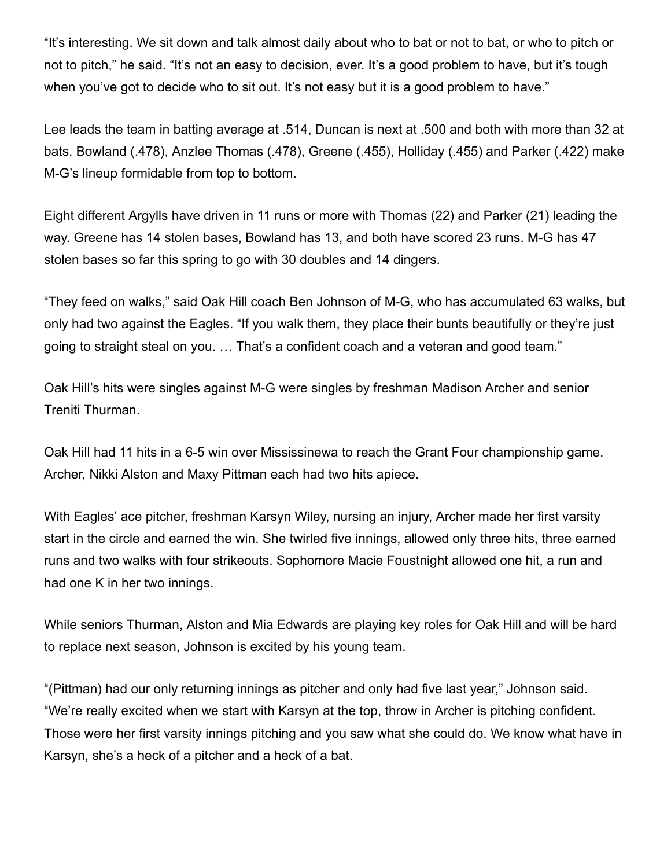"It's interesting. We sit down and talk almost daily about who to bat or not to bat, or who to pitch or not to pitch," he said. "It's not an easy to decision, ever. It's a good problem to have, but it's tough when you've got to decide who to sit out. It's not easy but it is a good problem to have."

Lee leads the team in batting average at .514, Duncan is next at .500 and both with more than 32 at bats. Bowland (.478), Anzlee Thomas (.478), Greene (.455), Holliday (.455) and Parker (.422) make M-G's lineup formidable from top to bottom.

Eight different Argylls have driven in 11 runs or more with Thomas (22) and Parker (21) leading the way. Greene has 14 stolen bases, Bowland has 13, and both have scored 23 runs. M-G has 47 stolen bases so far this spring to go with 30 doubles and 14 dingers.

"They feed on walks," said Oak Hill coach Ben Johnson of M-G, who has accumulated 63 walks, but only had two against the Eagles. "If you walk them, they place their bunts beautifully or they're just going to straight steal on you. … That's a confident coach and a veteran and good team."

Oak Hill's hits were singles against M-G were singles by freshman Madison Archer and senior Treniti Thurman.

Oak Hill had 11 hits in a 6-5 win over Mississinewa to reach the Grant Four championship game. Archer, Nikki Alston and Maxy Pittman each had two hits apiece.

With Eagles' ace pitcher, freshman Karsyn Wiley, nursing an injury, Archer made her first varsity start in the circle and earned the win. She twirled five innings, allowed only three hits, three earned runs and two walks with four strikeouts. Sophomore Macie Foustnight allowed one hit, a run and had one K in her two innings.

While seniors Thurman, Alston and Mia Edwards are playing key roles for Oak Hill and will be hard to replace next season, Johnson is excited by his young team.

"(Pittman) had our only returning innings as pitcher and only had five last year," Johnson said. "We're really excited when we start with Karsyn at the top, throw in Archer is pitching confident. Those were her first varsity innings pitching and you saw what she could do. We know what have in Karsyn, she's a heck of a pitcher and a heck of a bat.